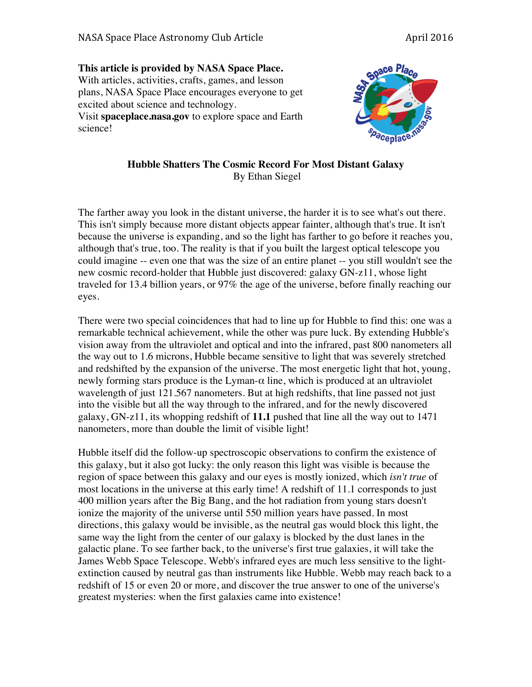**This article is provided by NASA Space Place.** With articles, activities, crafts, games, and lesson plans, NASA Space Place encourages everyone to get excited about science and technology. Visit **spaceplace.nasa.gov** to explore space and Earth science!



## **Hubble Shatters The Cosmic Record For Most Distant Galaxy** By Ethan Siegel

The farther away you look in the distant universe, the harder it is to see what's out there. This isn't simply because more distant objects appear fainter, although that's true. It isn't because the universe is expanding, and so the light has farther to go before it reaches you, although that's true, too. The reality is that if you built the largest optical telescope you could imagine -- even one that was the size of an entire planet -- you still wouldn't see the new cosmic record-holder that Hubble just discovered: galaxy GN-z11, whose light traveled for 13.4 billion years, or 97% the age of the universe, before finally reaching our eyes.

There were two special coincidences that had to line up for Hubble to find this: one was a remarkable technical achievement, while the other was pure luck. By extending Hubble's vision away from the ultraviolet and optical and into the infrared, past 800 nanometers all the way out to 1.6 microns, Hubble became sensitive to light that was severely stretched and redshifted by the expansion of the universe. The most energetic light that hot, young, newly forming stars produce is the Lyman- $\alpha$  line, which is produced at an ultraviolet wavelength of just 121.567 nanometers. But at high redshifts, that line passed not just into the visible but all the way through to the infrared, and for the newly discovered galaxy, GN-z11, its whopping redshift of **11.1** pushed that line all the way out to 1471 nanometers, more than double the limit of visible light!

Hubble itself did the follow-up spectroscopic observations to confirm the existence of this galaxy, but it also got lucky: the only reason this light was visible is because the region of space between this galaxy and our eyes is mostly ionized, which *isn't true* of most locations in the universe at this early time! A redshift of 11.1 corresponds to just 400 million years after the Big Bang, and the hot radiation from young stars doesn't ionize the majority of the universe until 550 million years have passed. In most directions, this galaxy would be invisible, as the neutral gas would block this light, the same way the light from the center of our galaxy is blocked by the dust lanes in the galactic plane. To see farther back, to the universe's first true galaxies, it will take the James Webb Space Telescope. Webb's infrared eyes are much less sensitive to the lightextinction caused by neutral gas than instruments like Hubble. Webb may reach back to a redshift of 15 or even 20 or more, and discover the true answer to one of the universe's greatest mysteries: when the first galaxies came into existence!